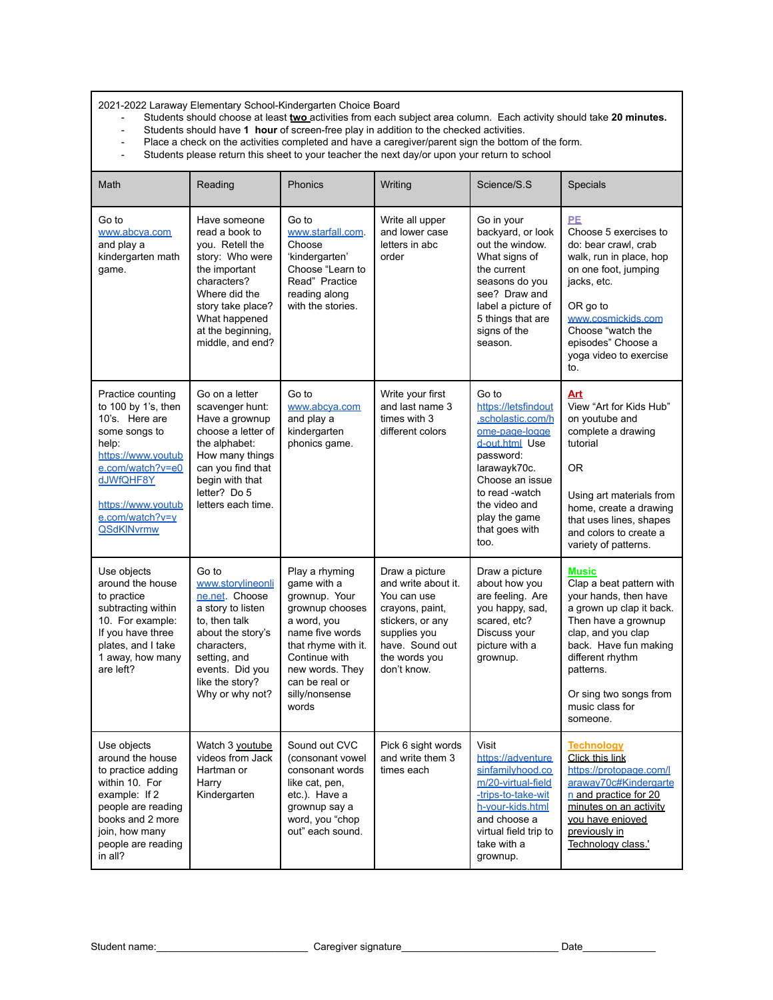2021-2022 Laraway Elementary School-Kindergarten Choice Board

- Students should choose at least **two** activities from each subject area column. Each activity should take **20 minutes.**
- Students should have **1 hour** of screen-free play in addition to the checked activities.
- Place a check on the activities completed and have a caregiver/parent sign the bottom of the form.<br>- Students please return this sheet to your teacher the next day/or upon your return to school
- Students please return this sheet to your teacher the next day/or upon your return to school

| Math                                                                                                                                                                                                      | Reading                                                                                                                                                                                              | Phonics                                                                                                                                                                                                     | Writing                                                                                                                                                        | Science/S.S                                                                                                                                                                                                         | Specials                                                                                                                                                                                                                                               |
|-----------------------------------------------------------------------------------------------------------------------------------------------------------------------------------------------------------|------------------------------------------------------------------------------------------------------------------------------------------------------------------------------------------------------|-------------------------------------------------------------------------------------------------------------------------------------------------------------------------------------------------------------|----------------------------------------------------------------------------------------------------------------------------------------------------------------|---------------------------------------------------------------------------------------------------------------------------------------------------------------------------------------------------------------------|--------------------------------------------------------------------------------------------------------------------------------------------------------------------------------------------------------------------------------------------------------|
| Go to<br>www.abcva.com<br>and play a<br>kindergarten math<br>game.                                                                                                                                        | Have someone<br>read a book to<br>you. Retell the<br>story: Who were<br>the important<br>characters?<br>Where did the<br>story take place?<br>What happened<br>at the beginning,<br>middle, and end? | Go to<br>www.starfall.com.<br>Choose<br>'kindergarten'<br>Choose "Learn to<br>Read" Practice<br>reading along<br>with the stories.                                                                          | Write all upper<br>and lower case<br>letters in abc<br>order                                                                                                   | Go in your<br>backyard, or look<br>out the window.<br>What signs of<br>the current<br>seasons do you<br>see? Draw and<br>label a picture of<br>5 things that are<br>signs of the<br>season.                         | <b>PE</b><br>Choose 5 exercises to<br>do: bear crawl, crab<br>walk, run in place, hop<br>on one foot, jumping<br>jacks, etc.<br>OR go to<br>www.cosmickids.com<br>Choose "watch the<br>episodes" Choose a<br>yoga video to exercise<br>to.             |
| Practice counting<br>to 100 by 1's, then<br>10's. Here are<br>some songs to<br>help:<br>https://www.youtub<br>e.com/watch?v=e0<br>dJWfQHF8Y<br>https://www.youtub<br>e.com/watch?v=y<br><b>QSdKINvrmw</b> | Go on a letter<br>scavenger hunt:<br>Have a grownup<br>choose a letter of<br>the alphabet:<br>How many things<br>can you find that<br>begin with that<br>letter? Do 5<br>letters each time.          | Go to<br>www.abcya.com<br>and play a<br>kindergarten<br>phonics game.                                                                                                                                       | Write your first<br>and last name 3<br>times with 3<br>different colors                                                                                        | Go to<br>https://letsfindout<br>.scholastic.com/h<br>ome-page-logge<br>d-out.html Use<br>password:<br>larawayk70c.<br>Choose an issue<br>to read -watch<br>the video and<br>play the game<br>that goes with<br>too. | Art<br>View "Art for Kids Hub"<br>on youtube and<br>complete a drawing<br>tutorial<br>0R<br>Using art materials from<br>home, create a drawing<br>that uses lines, shapes<br>and colors to create a<br>variety of patterns.                            |
| Use objects<br>around the house<br>to practice<br>subtracting within<br>10. For example:<br>If you have three<br>plates, and I take<br>1 away, how many<br>are left?                                      | Go to<br>www.storvlineonli<br>ne.net Choose<br>a story to listen<br>to, then talk<br>about the story's<br>characters,<br>setting, and<br>events. Did you<br>like the story?<br>Why or why not?       | Play a rhyming<br>game with a<br>grownup. Your<br>grownup chooses<br>a word, you<br>name five words<br>that rhyme with it.<br>Continue with<br>new words. They<br>can be real or<br>silly/nonsense<br>words | Draw a picture<br>and write about it.<br>You can use<br>crayons, paint,<br>stickers, or any<br>supplies you<br>have. Sound out<br>the words you<br>don't know. | Draw a picture<br>about how you<br>are feeling. Are<br>you happy, sad,<br>scared, etc?<br>Discuss your<br>picture with a<br>grownup.                                                                                | Music<br>Clap a beat pattern with<br>your hands, then have<br>a grown up clap it back.<br>Then have a grownup<br>clap, and you clap<br>back. Have fun making<br>different rhythm<br>patterns.<br>Or sing two songs from<br>music class for<br>someone. |
| Use objects<br>around the house<br>to practice adding<br>within 10. For<br>example: If 2<br>people are reading<br>books and 2 more<br>join, how many<br>people are reading<br>in all?                     | Watch 3 youtube<br>videos from Jack<br>Hartman or<br>Harry<br>Kindergarten                                                                                                                           | Sound out CVC<br>(consonant vowel<br>consonant words<br>like cat, pen,<br>etc.). Have a<br>grownup say a<br>word, you "chop<br>out" each sound.                                                             | Pick 6 sight words<br>and write them 3<br>times each                                                                                                           | Visit<br>https://adventure<br>sinfamilyhood.co<br>m/20-virtual-field<br>-trips-to-take-wit<br>h-vour-kids.html<br>and choose a<br>virtual field trip to<br>take with a<br>grownup.                                  | <b>Technology</b><br>Click this link<br>https://protopage.com/l<br>araway70c#Kindergarte<br>n and practice for 20<br>minutes on an activity<br>you have enjoyed<br>previously in<br>Technology class.'                                                 |